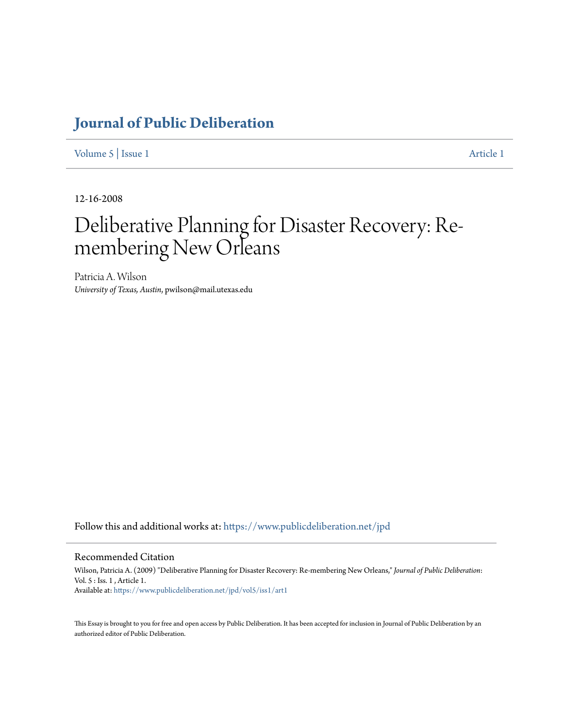## **[Journal of Public Deliberation](https://www.publicdeliberation.net/jpd?utm_source=www.publicdeliberation.net%2Fjpd%2Fvol5%2Fiss1%2Fart1&utm_medium=PDF&utm_campaign=PDFCoverPages)**

[Volume 5](https://www.publicdeliberation.net/jpd/vol5?utm_source=www.publicdeliberation.net%2Fjpd%2Fvol5%2Fiss1%2Fart1&utm_medium=PDF&utm_campaign=PDFCoverPages) | [Issue 1](https://www.publicdeliberation.net/jpd/vol5/iss1?utm_source=www.publicdeliberation.net%2Fjpd%2Fvol5%2Fiss1%2Fart1&utm_medium=PDF&utm_campaign=PDFCoverPages) [Article 1](https://www.publicdeliberation.net/jpd/vol5/iss1/art1?utm_source=www.publicdeliberation.net%2Fjpd%2Fvol5%2Fiss1%2Fart1&utm_medium=PDF&utm_campaign=PDFCoverPages)

12-16-2008

# Deliberative Planning for Disaster Recovery: Remembering New Orleans

Patricia A. Wilson *University of Texas, Austin*, pwilson@mail.utexas.edu

Follow this and additional works at: [https://www.publicdeliberation.net/jpd](https://www.publicdeliberation.net/jpd?utm_source=www.publicdeliberation.net%2Fjpd%2Fvol5%2Fiss1%2Fart1&utm_medium=PDF&utm_campaign=PDFCoverPages)

#### Recommended Citation

Wilson, Patricia A. (2009) "Deliberative Planning for Disaster Recovery: Re-membering New Orleans," *Journal of Public Deliberation*: Vol. 5 : Iss. 1 , Article 1. Available at: [https://www.publicdeliberation.net/jpd/vol5/iss1/art1](https://www.publicdeliberation.net/jpd/vol5/iss1/art1?utm_source=www.publicdeliberation.net%2Fjpd%2Fvol5%2Fiss1%2Fart1&utm_medium=PDF&utm_campaign=PDFCoverPages)

This Essay is brought to you for free and open access by Public Deliberation. It has been accepted for inclusion in Journal of Public Deliberation by an authorized editor of Public Deliberation.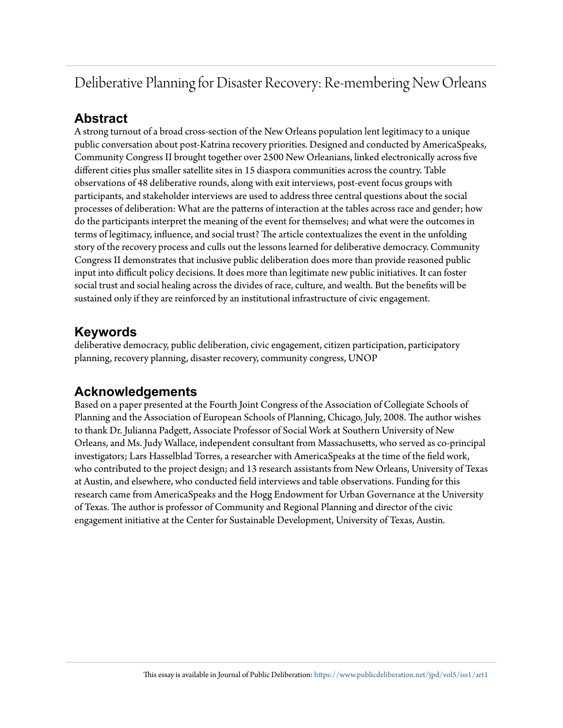## Deliberative Planning for Disaster Recovery: Re-membering New Orleans

### **Abstract**

A strong turnout of a broad cross-section of the New Orleans population lent legitimacy to a unique public conversation about post-Katrina recovery priorities. Designed and conducted by AmericaSpeaks, Community Congress II brought together over 2500 New Orleanians, linked electronically across five different cities plus smaller satellite sites in 15 diaspora communities across the country. Table observations of 48 deliberative rounds, along with exit interviews, post-event focus groups with participants, and stakeholder interviews are used to address three central questions about the social processes of deliberation: What are the patterns of interaction at the tables across race and gender; how do the participants interpret the meaning of the event for themselves; and what were the outcomes in terms of legitimacy, influence, and social trust? The article contextualizes the event in the unfolding story of the recovery process and culls out the lessons learned for deliberative democracy. Community Congress II demonstrates that inclusive public deliberation does more than provide reasoned public input into difficult policy decisions. It does more than legitimate new public initiatives. It can foster social trust and social healing across the divides of race, culture, and wealth. But the benefits will be sustained only if they are reinforced by an institutional infrastructure of civic engagement.

### **Keywords**

deliberative democracy, public deliberation, civic engagement, citizen participation, participatory planning, recovery planning, disaster recovery, community congress, UNOP

## **Acknowledgements**

Based on a paper presented at the Fourth Joint Congress of the Association of Collegiate Schools of Planning and the Association of European Schools of Planning, Chicago, July, 2008. The author wishes to thank Dr. Julianna Padgett, Associate Professor of Social Work at Southern University of New Orleans, and Ms. Judy Wallace, independent consultant from Massachusetts, who served as co-principal investigators; Lars Hasselblad Torres, a researcher with AmericaSpeaks at the time of the field work, who contributed to the project design; and 13 research assistants from New Orleans, University of Texas at Austin, and elsewhere, who conducted field interviews and table observations. Funding for this research came from AmericaSpeaks and the Hogg Endowment for Urban Governance at the University of Texas. The author is professor of Community and Regional Planning and director of the civic engagement initiative at the Center for Sustainable Development, University of Texas, Austin.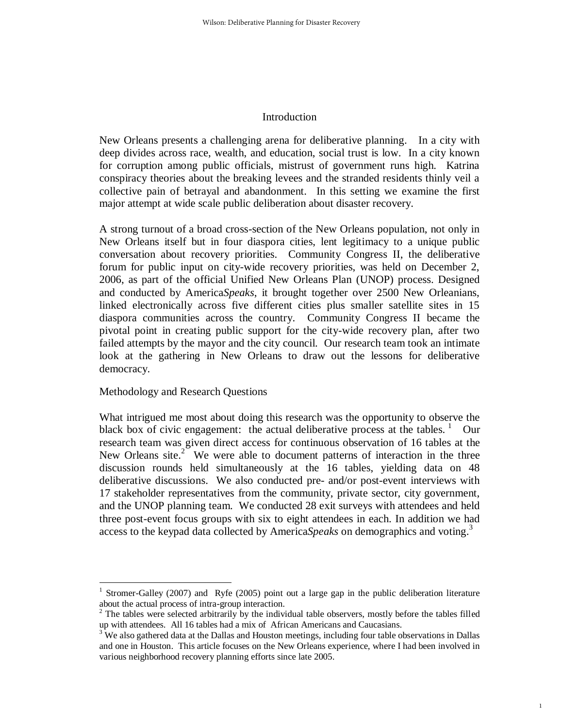#### Introduction

New Orleans presents a challenging arena for deliberative planning. In a city with deep divides across race, wealth, and education, social trust is low. In a city known for corruption among public officials, mistrust of government runs high. Katrina conspiracy theories about the breaking levees and the stranded residents thinly veil a collective pain of betrayal and abandonment. In this setting we examine the first major attempt at wide scale public deliberation about disaster recovery.

A strong turnout of a broad cross-section of the New Orleans population, not only in New Orleans itself but in four diaspora cities, lent legitimacy to a unique public conversation about recovery priorities. Community Congress II, the deliberative forum for public input on city-wide recovery priorities, was held on December 2, 2006, as part of the official Unified New Orleans Plan (UNOP) process. Designed and conducted by America*Speaks*, it brought together over 2500 New Orleanians, linked electronically across five different cities plus smaller satellite sites in 15 diaspora communities across the country. Community Congress II became the pivotal point in creating public support for the city-wide recovery plan, after two failed attempts by the mayor and the city council. Our research team took an intimate look at the gathering in New Orleans to draw out the lessons for deliberative democracy.

Methodology and Research Questions

 $\overline{a}$ 

What intrigued me most about doing this research was the opportunity to observe the black box of civic engagement: the actual deliberative process at the tables.  $\frac{1}{1}$  Our research team was given direct access for continuous observation of 16 tables at the New Orleans site. $2^{\infty}$  We were able to document patterns of interaction in the three discussion rounds held simultaneously at the 16 tables, yielding data on 48 deliberative discussions. We also conducted pre- and/or post-event interviews with 17 stakeholder representatives from the community, private sector, city government, and the UNOP planning team. We conducted 28 exit surveys with attendees and held three post-event focus groups with six to eight attendees in each. In addition we had access to the keypad data collected by America*Speaks* on demographics and voting.<sup>3</sup>

1

<sup>1</sup> Stromer-Galley (2007) and Ryfe (2005) point out a large gap in the public deliberation literature about the actual process of intra-group interaction.

 $2^{2}$  The tables were selected arbitrarily by the individual table observers, mostly before the tables filled up with attendees. All 16 tables had a mix of African Americans and Caucasians.

 $3^3$  We also gathered data at the Dallas and Houston meetings, including four table observations in Dallas and one in Houston. This article focuses on the New Orleans experience, where I had been involved in various neighborhood recovery planning efforts since late 2005.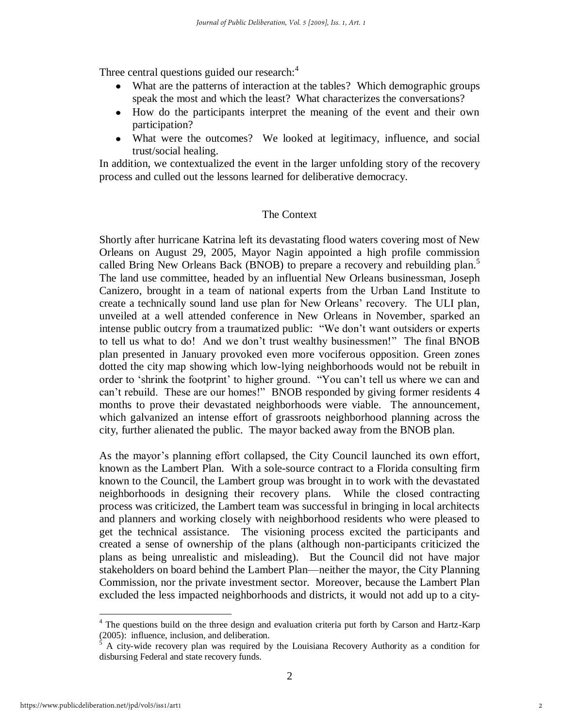Three central questions guided our research: $4$ 

- What are the patterns of interaction at the tables? Which demographic groups speak the most and which the least? What characterizes the conversations?
- How do the participants interpret the meaning of the event and their own participation?
- What were the outcomes? We looked at legitimacy, influence, and social trust/social healing.

In addition, we contextualized the event in the larger unfolding story of the recovery process and culled out the lessons learned for deliberative democracy.

#### The Context

Shortly after hurricane Katrina left its devastating flood waters covering most of New Orleans on August 29, 2005, Mayor Nagin appointed a high profile commission called Bring New Orleans Back (BNOB) to prepare a recovery and rebuilding plan.<sup>5</sup> The land use committee, headed by an influential New Orleans businessman, Joseph Canizero, brought in a team of national experts from the Urban Land Institute to create a technically sound land use plan for New Orleans' recovery. The ULI plan, unveiled at a well attended conference in New Orleans in November, sparked an intense public outcry from a traumatized public: "We don't want outsiders or experts to tell us what to do! And we don't trust wealthy businessmen!" The final BNOB plan presented in January provoked even more vociferous opposition. Green zones dotted the city map showing which low-lying neighborhoods would not be rebuilt in order to 'shrink the footprint' to higher ground. "You can't tell us where we can and can't rebuild. These are our homes!" BNOB responded by giving former residents 4 months to prove their devastated neighborhoods were viable. The announcement, which galvanized an intense effort of grassroots neighborhood planning across the city, further alienated the public. The mayor backed away from the BNOB plan.

As the mayor's planning effort collapsed, the City Council launched its own effort, known as the Lambert Plan. With a sole-source contract to a Florida consulting firm known to the Council, the Lambert group was brought in to work with the devastated neighborhoods in designing their recovery plans. While the closed contracting process was criticized, the Lambert team was successful in bringing in local architects and planners and working closely with neighborhood residents who were pleased to get the technical assistance. The visioning process excited the participants and created a sense of ownership of the plans (although non-participants criticized the plans as being unrealistic and misleading). But the Council did not have major stakeholders on board behind the Lambert Plan—neither the mayor, the City Planning Commission, nor the private investment sector. Moreover, because the Lambert Plan excluded the less impacted neighborhoods and districts, it would not add up to a city-

<sup>&</sup>lt;sup>4</sup> The questions build on the three design and evaluation criteria put forth by Carson and Hartz-Karp (2005): influence, inclusion, and deliberation.

<sup>5</sup> A city-wide recovery plan was required by the Louisiana Recovery Authority as a condition for disbursing Federal and state recovery funds.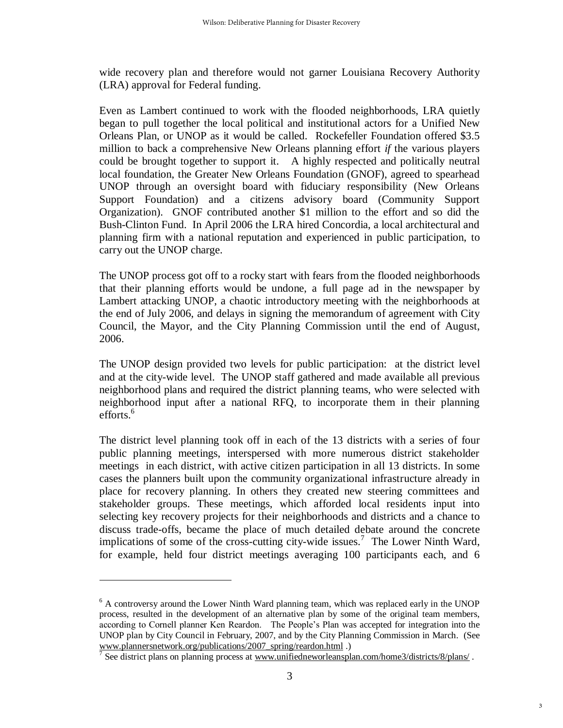wide recovery plan and therefore would not garner Louisiana Recovery Authority (LRA) approval for Federal funding.

Even as Lambert continued to work with the flooded neighborhoods, LRA quietly began to pull together the local political and institutional actors for a Unified New Orleans Plan, or UNOP as it would be called. Rockefeller Foundation offered \$3.5 million to back a comprehensive New Orleans planning effort *if* the various players could be brought together to support it. A highly respected and politically neutral local foundation, the Greater New Orleans Foundation (GNOF), agreed to spearhead UNOP through an oversight board with fiduciary responsibility (New Orleans Support Foundation) and a citizens advisory board (Community Support Organization). GNOF contributed another \$1 million to the effort and so did the Bush-Clinton Fund. In April 2006 the LRA hired Concordia, a local architectural and planning firm with a national reputation and experienced in public participation, to carry out the UNOP charge.

The UNOP process got off to a rocky start with fears from the flooded neighborhoods that their planning efforts would be undone, a full page ad in the newspaper by Lambert attacking UNOP, a chaotic introductory meeting with the neighborhoods at the end of July 2006, and delays in signing the memorandum of agreement with City Council, the Mayor, and the City Planning Commission until the end of August, 2006.

The UNOP design provided two levels for public participation: at the district level and at the city-wide level. The UNOP staff gathered and made available all previous neighborhood plans and required the district planning teams, who were selected with neighborhood input after a national RFQ, to incorporate them in their planning efforts. $6$ 

The district level planning took off in each of the 13 districts with a series of four public planning meetings, interspersed with more numerous district stakeholder meetings in each district, with active citizen participation in all 13 districts. In some cases the planners built upon the community organizational infrastructure already in place for recovery planning. In others they created new steering committees and stakeholder groups. These meetings, which afforded local residents input into selecting key recovery projects for their neighborhoods and districts and a chance to discuss trade-offs, became the place of much detailed debate around the concrete implications of some of the cross-cutting city-wide issues.<sup>7</sup> The Lower Ninth Ward, for example, held four district meetings averaging 100 participants each, and 6

<sup>&</sup>lt;sup>6</sup> A controversy around the Lower Ninth Ward planning team, which was replaced early in the UNOP process, resulted in the development of an alternative plan by some of the original team members, according to Cornell planner Ken Reardon. The People's Plan was accepted for integration into the UNOP plan by City Council in February, 2007, and by the City Planning Commission in March. (See [www.plannersnetwork.org/publications/2007\\_spring/reardon.html](http://www.plannersnetwork.org/publications/2007_spring/reardon.html) .)

<sup>&</sup>lt;sup>7</sup> See district plans on planning process at www.unifiedneworleansplan.com/home3/districts/8/plans/.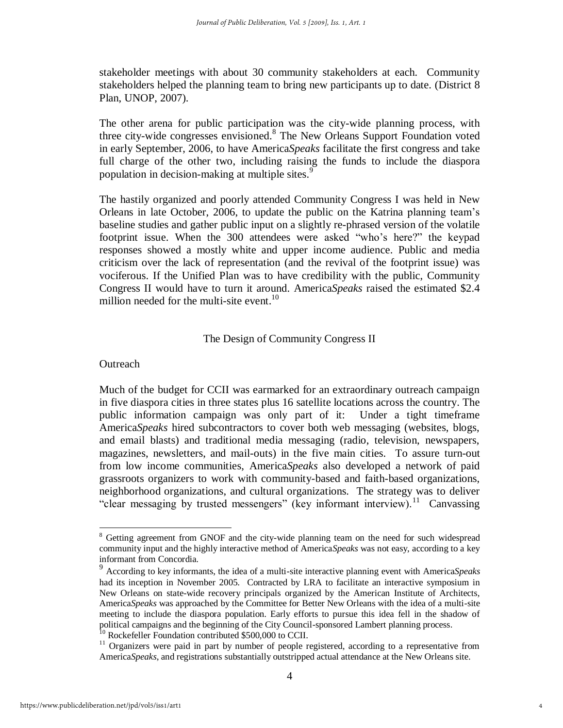stakeholder meetings with about 30 community stakeholders at each. Community stakeholders helped the planning team to bring new participants up to date. (District 8 Plan, UNOP, 2007).

The other arena for public participation was the city-wide planning process, with three city-wide congresses envisioned.<sup>8</sup> The New Orleans Support Foundation voted in early September, 2006, to have America*Speaks* facilitate the first congress and take full charge of the other two, including raising the funds to include the diaspora population in decision-making at multiple sites.<sup>9</sup>

The hastily organized and poorly attended Community Congress I was held in New Orleans in late October, 2006, to update the public on the Katrina planning team's baseline studies and gather public input on a slightly re-phrased version of the volatile footprint issue. When the 300 attendees were asked "who's here?" the keypad responses showed a mostly white and upper income audience. Public and media criticism over the lack of representation (and the revival of the footprint issue) was vociferous. If the Unified Plan was to have credibility with the public, Community Congress II would have to turn it around. America*Speaks* raised the estimated \$2.4 million needed for the multi-site event.<sup>10</sup>

#### The Design of Community Congress II

#### **Outreach**

Much of the budget for CCII was earmarked for an extraordinary outreach campaign in five diaspora cities in three states plus 16 satellite locations across the country. The public information campaign was only part of it: Under a tight timeframe America*Speaks* hired subcontractors to cover both web messaging (websites, blogs, and email blasts) and traditional media messaging (radio, television, newspapers, magazines, newsletters, and mail-outs) in the five main cities. To assure turn-out from low income communities, America*Speaks* also developed a network of paid grassroots organizers to work with community-based and faith-based organizations, neighborhood organizations, and cultural organizations. The strategy was to deliver "clear messaging by trusted messengers" (key informant interview).<sup>11</sup> Canvassing

<sup>&</sup>lt;sup>8</sup> Getting agreement from GNOF and the city-wide planning team on the need for such widespread community input and the highly interactive method of America*Speaks* was not easy, according to a key informant from Concordia.

<sup>9</sup> According to key informants, the idea of a multi-site interactive planning event with America*Speaks* had its inception in November 2005. Contracted by LRA to facilitate an interactive symposium in New Orleans on state-wide recovery principals organized by the American Institute of Architects, America*Speaks* was approached by the Committee for Better New Orleans with the idea of a multi-site meeting to include the diaspora population. Early efforts to pursue this idea fell in the shadow of political campaigns and the beginning of the City Council-sponsored Lambert planning process. <sup>10</sup> Rockefeller Foundation contributed \$500,000 to CCII.

 $11$  Organizers were paid in part by number of people registered, according to a representative from America*Speaks*, and registrations substantially outstripped actual attendance at the New Orleans site.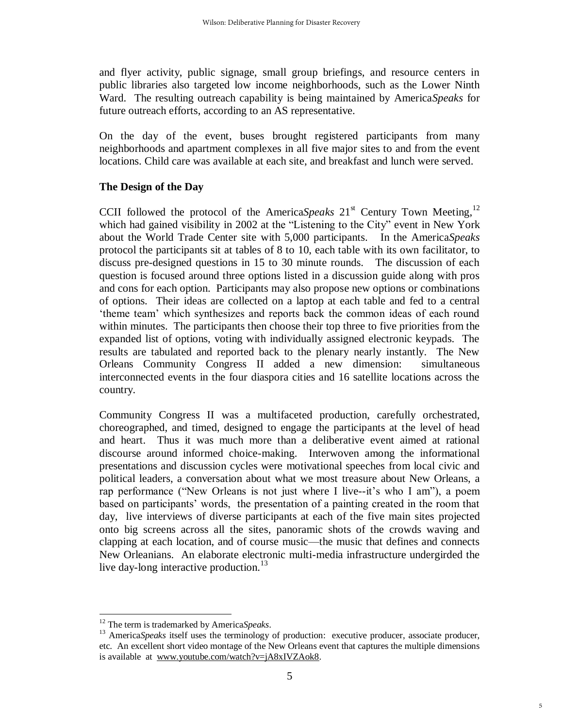and flyer activity, public signage, small group briefings, and resource centers in public libraries also targeted low income neighborhoods, such as the Lower Ninth Ward. The resulting outreach capability is being maintained by America*Speaks* for future outreach efforts, according to an AS representative.

On the day of the event, buses brought registered participants from many neighborhoods and apartment complexes in all five major sites to and from the event locations. Child care was available at each site, and breakfast and lunch were served.

#### **The Design of the Day**

CCII followed the protocol of the America*Speaks*  $21<sup>st</sup>$  Century Town Meeting,<sup>12</sup> which had gained visibility in 2002 at the "Listening to the City" event in New York about the World Trade Center site with 5,000 participants. In the America*Speaks* protocol the participants sit at tables of 8 to 10, each table with its own facilitator, to discuss pre-designed questions in 15 to 30 minute rounds. The discussion of each question is focused around three options listed in a discussion guide along with pros and cons for each option. Participants may also propose new options or combinations of options. Their ideas are collected on a laptop at each table and fed to a central ‗theme team' which synthesizes and reports back the common ideas of each round within minutes. The participants then choose their top three to five priorities from the expanded list of options, voting with individually assigned electronic keypads. The results are tabulated and reported back to the plenary nearly instantly. The New Orleans Community Congress II added a new dimension: simultaneous interconnected events in the four diaspora cities and 16 satellite locations across the country.

Community Congress II was a multifaceted production, carefully orchestrated, choreographed, and timed, designed to engage the participants at the level of head and heart. Thus it was much more than a deliberative event aimed at rational discourse around informed choice-making. Interwoven among the informational presentations and discussion cycles were motivational speeches from local civic and political leaders, a conversation about what we most treasure about New Orleans, a rap performance ("New Orleans is not just where I live--it's who I am"), a poem based on participants' words, the presentation of a painting created in the room that day, live interviews of diverse participants at each of the five main sites projected onto big screens across all the sites, panoramic shots of the crowds waving and clapping at each location, and of course music—the music that defines and connects New Orleanians. An elaborate electronic multi-media infrastructure undergirded the live day-long interactive production.<sup>13</sup>

<sup>12</sup> The term is trademarked by America*Speaks*.

<sup>&</sup>lt;sup>13</sup> America*Speaks* itself uses the terminology of production: executive producer, associate producer, etc. An excellent short video montage of the New Orleans event that captures the multiple dimensions is available at [www.youtube.com/watch?v=jA8xIVZAok8.](http://www.youtube.com/watch?v=jA8xIVZAok8)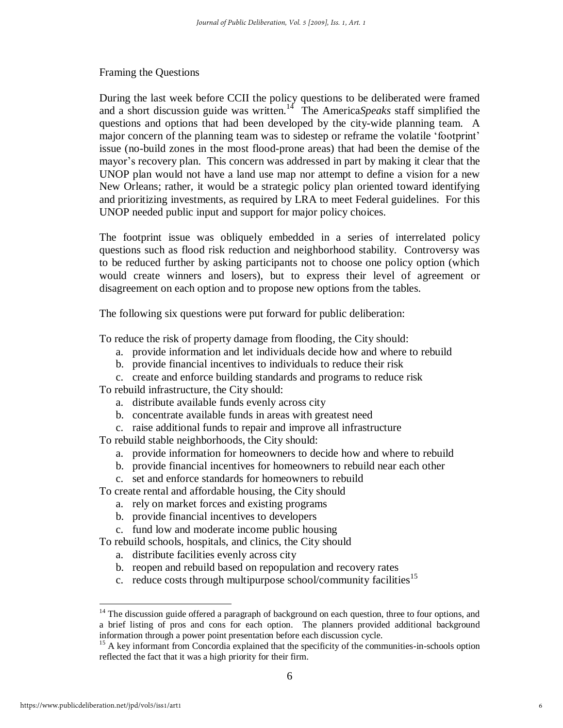#### Framing the Questions

During the last week before CCII the policy questions to be deliberated were framed and a short discussion guide was written.<sup>14</sup> The America*Speaks* staff simplified the questions and options that had been developed by the city-wide planning team. A major concern of the planning team was to sidestep or reframe the volatile 'footprint' issue (no-build zones in the most flood-prone areas) that had been the demise of the mayor's recovery plan. This concern was addressed in part by making it clear that the UNOP plan would not have a land use map nor attempt to define a vision for a new New Orleans; rather, it would be a strategic policy plan oriented toward identifying and prioritizing investments, as required by LRA to meet Federal guidelines. For this UNOP needed public input and support for major policy choices.

The footprint issue was obliquely embedded in a series of interrelated policy questions such as flood risk reduction and neighborhood stability. Controversy was to be reduced further by asking participants not to choose one policy option (which would create winners and losers), but to express their level of agreement or disagreement on each option and to propose new options from the tables.

The following six questions were put forward for public deliberation:

To reduce the risk of property damage from flooding, the City should:

- a. provide information and let individuals decide how and where to rebuild
- b. provide financial incentives to individuals to reduce their risk
- c. create and enforce building standards and programs to reduce risk

To rebuild infrastructure, the City should:

- a. distribute available funds evenly across city
- b. concentrate available funds in areas with greatest need
- c. raise additional funds to repair and improve all infrastructure

To rebuild stable neighborhoods, the City should:

- a. provide information for homeowners to decide how and where to rebuild
- b. provide financial incentives for homeowners to rebuild near each other
- c. set and enforce standards for homeowners to rebuild

To create rental and affordable housing, the City should

- a. rely on market forces and existing programs
- b. provide financial incentives to developers
- c. fund low and moderate income public housing

To rebuild schools, hospitals, and clinics, the City should

- a. distribute facilities evenly across city
- b. reopen and rebuild based on repopulation and recovery rates
- c. reduce costs through multipurpose school/community facilities<sup>15</sup>

 $14$  The discussion guide offered a paragraph of background on each question, three to four options, and a brief listing of pros and cons for each option. The planners provided additional background information through a power point presentation before each discussion cycle.

<sup>&</sup>lt;sup>15</sup> A key informant from Concordia explained that the specificity of the communities-in-schools option reflected the fact that it was a high priority for their firm.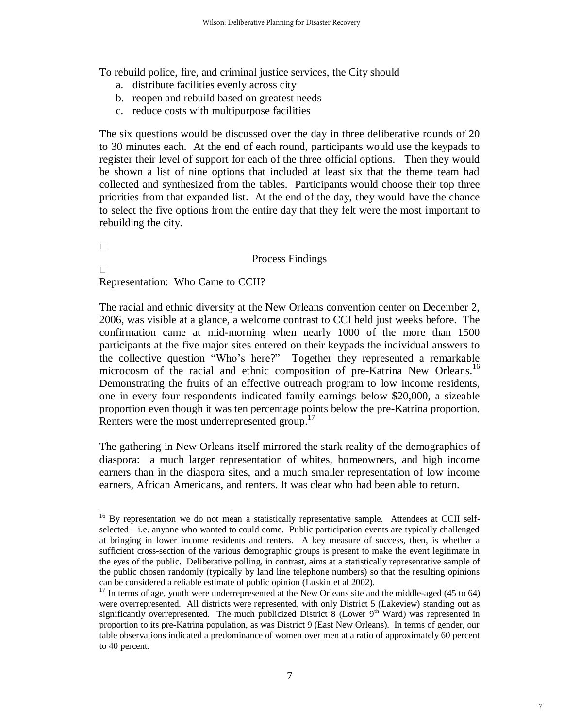To rebuild police, fire, and criminal justice services, the City should

- a. distribute facilities evenly across city
- b. reopen and rebuild based on greatest needs
- c. reduce costs with multipurpose facilities

The six questions would be discussed over the day in three deliberative rounds of 20 to 30 minutes each. At the end of each round, participants would use the keypads to register their level of support for each of the three official options. Then they would be shown a list of nine options that included at least six that the theme team had collected and synthesized from the tables. Participants would choose their top three priorities from that expanded list. At the end of the day, they would have the chance to select the five options from the entire day that they felt were the most important to rebuilding the city.

#### Process Findings

Representation: Who Came to CCII?

 $\overline{a}$ 

The racial and ethnic diversity at the New Orleans convention center on December 2, 2006, was visible at a glance, a welcome contrast to CCI held just weeks before. The confirmation came at mid-morning when nearly 1000 of the more than 1500 participants at the five major sites entered on their keypads the individual answers to the collective question "Who's here?" Together they represented a remarkable microcosm of the racial and ethnic composition of pre-Katrina New Orleans.<sup>16</sup> Demonstrating the fruits of an effective outreach program to low income residents, one in every four respondents indicated family earnings below \$20,000, a sizeable proportion even though it was ten percentage points below the pre-Katrina proportion. Renters were the most underrepresented group.<sup>17</sup>

The gathering in New Orleans itself mirrored the stark reality of the demographics of diaspora: a much larger representation of whites, homeowners, and high income earners than in the diaspora sites, and a much smaller representation of low income earners, African Americans, and renters. It was clear who had been able to return.

<sup>&</sup>lt;sup>16</sup> By representation we do not mean a statistically representative sample. Attendees at CCII selfselected—i.e. anyone who wanted to could come. Public participation events are typically challenged at bringing in lower income residents and renters. A key measure of success, then, is whether a sufficient cross-section of the various demographic groups is present to make the event legitimate in the eyes of the public. Deliberative polling, in contrast, aims at a statistically representative sample of the public chosen randomly (typically by land line telephone numbers) so that the resulting opinions can be considered a reliable estimate of public opinion (Luskin et al 2002).

 $17$  In terms of age, youth were underrepresented at the New Orleans site and the middle-aged (45 to 64) were overrepresented. All districts were represented, with only District 5 (Lakeview) standing out as significantly overrepresented. The much publicized District 8 (Lower  $9<sup>th</sup>$  Ward) was represented in proportion to its pre-Katrina population, as was District 9 (East New Orleans). In terms of gender, our table observations indicated a predominance of women over men at a ratio of approximately 60 percent to 40 percent.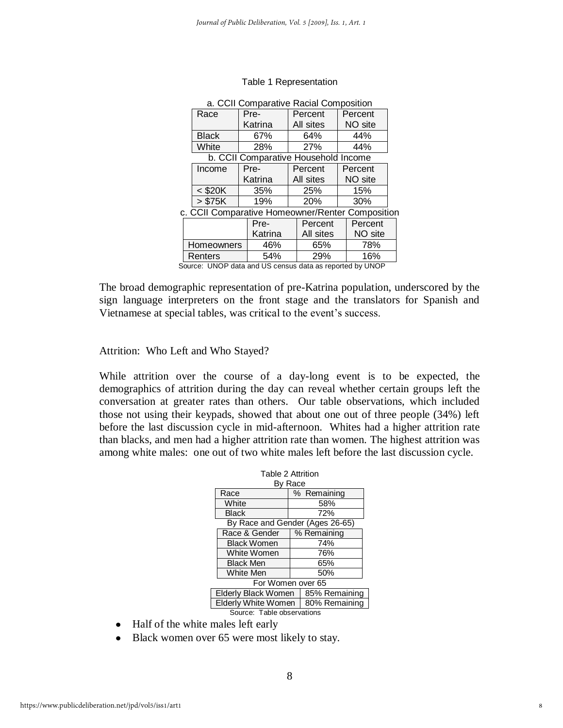| a. CCII Comparative Racial Composition |                                                  |  |           |  |         |  |  |
|----------------------------------------|--------------------------------------------------|--|-----------|--|---------|--|--|
| Race                                   | Pre-                                             |  | Percent   |  | Percent |  |  |
|                                        | Katrina                                          |  | All sites |  | NO site |  |  |
| <b>Black</b>                           | 67%                                              |  | 64%       |  | 44%     |  |  |
| White                                  | 28%                                              |  | 27%       |  | 44%     |  |  |
|                                        | b. CCII Comparative Household Income             |  |           |  |         |  |  |
| Income                                 | Pre-                                             |  | Percent   |  | Percent |  |  |
|                                        | Katrina                                          |  | All sites |  | NO site |  |  |
| $<$ \$20K                              | 35%                                              |  | 25%       |  | 15%     |  |  |
| > \$75K                                | 19%                                              |  | 20%       |  | 30%     |  |  |
|                                        | c. CCII Comparative Homeowner/Renter Composition |  |           |  |         |  |  |
|                                        | Pre-                                             |  | Percent   |  | Percent |  |  |
| Katrina                                |                                                  |  | All sites |  | NO site |  |  |
| Homeowners                             | 46%                                              |  | 65%       |  | 78%     |  |  |
| Renters                                | 54%                                              |  | 29%       |  | 16%     |  |  |

#### Table 1 Representation

Source: UNOP data and US census data as reported by UNOP

The broad demographic representation of pre-Katrina population, underscored by the sign language interpreters on the front stage and the translators for Spanish and Vietnamese at special tables, was critical to the event's success.

Attrition: Who Left and Who Stayed?

While attrition over the course of a day-long event is to be expected, the demographics of attrition during the day can reveal whether certain groups left the conversation at greater rates than others. Our table observations, which included those not using their keypads, showed that about one out of three people (34%) left before the last discussion cycle in mid-afternoon. Whites had a higher attrition rate than blacks, and men had a higher attrition rate than women. The highest attrition was among white males: one out of two white males left before the last discussion cycle.

|  | Table 2 Attrition                    |               |             |  |  |
|--|--------------------------------------|---------------|-------------|--|--|
|  | By Race                              |               |             |  |  |
|  | Race                                 |               | % Remaining |  |  |
|  | White                                |               | 58%         |  |  |
|  | <b>Black</b>                         |               | 72%         |  |  |
|  | By Race and Gender (Ages 26-65)      |               |             |  |  |
|  | Race & Gender                        | % Remaining   |             |  |  |
|  | <b>Black Women</b><br>White Women    |               | 74%         |  |  |
|  |                                      |               | 76%         |  |  |
|  | <b>Black Men</b>                     | 65%           |             |  |  |
|  | <b>White Men</b>                     |               | 50%         |  |  |
|  | For Women over 65                    |               |             |  |  |
|  | <b>Elderly Black Women</b>           | 85% Remaining |             |  |  |
|  | Elderly White Women<br>80% Remaining |               |             |  |  |
|  | Source: Table observations           |               |             |  |  |

- Half of the white males left early
- Black women over 65 were most likely to stay.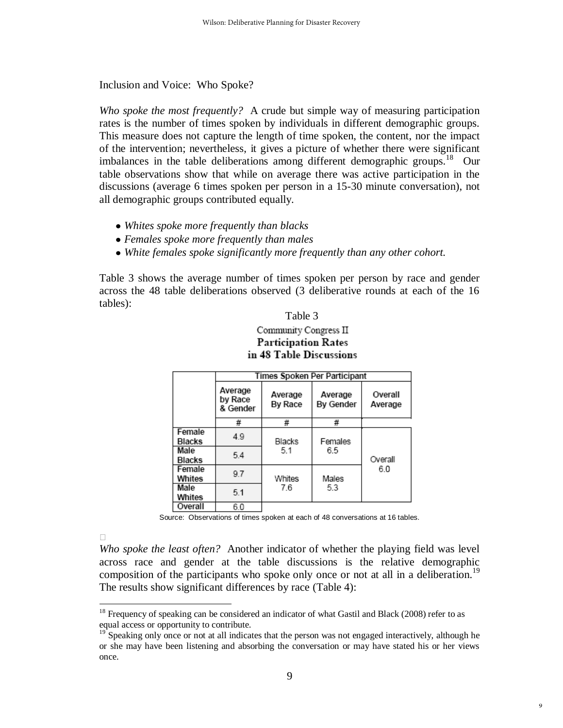Inclusion and Voice: Who Spoke?

*Who spoke the most frequently?* A crude but simple way of measuring participation rates is the number of times spoken by individuals in different demographic groups. This measure does not capture the length of time spoken, the content, nor the impact of the intervention; nevertheless, it gives a picture of whether there were significant imbalances in the table deliberations among different demographic groups.<sup>18</sup> Our table observations show that while on average there was active participation in the discussions (average 6 times spoken per person in a 15-30 minute conversation), not all demographic groups contributed equally.

- *Whites spoke more frequently than blacks*
- *Females spoke more frequently than males*
- *White females spoke significantly more frequently than any other cohort.*

Table 3 shows the average number of times spoken per person by race and gender across the 48 table deliberations observed (3 deliberative rounds at each of the 16 tables):

Table 3

#### Community Congress II **Participation Rates** in 48 Table Discussions

|                                      | Times Spoken Per Participant   |                    |                      |                    |  |  |  |  |  |  |
|--------------------------------------|--------------------------------|--------------------|----------------------|--------------------|--|--|--|--|--|--|
|                                      | Average<br>by Race<br>& Gender | Average<br>By Race | Average<br>By Gender | Overall<br>Average |  |  |  |  |  |  |
|                                      | #                              | #                  | #                    |                    |  |  |  |  |  |  |
| Female<br><b>Blacks</b>              | 4.9                            | Blacks             | Females              |                    |  |  |  |  |  |  |
| Male<br><b>Blacks</b>                | 5.4                            | 5.1                | 6.5                  | Overall            |  |  |  |  |  |  |
| Female<br>Whites                     | 9.7                            | Whites             | Males                | 6.0                |  |  |  |  |  |  |
| Male<br>Whites                       | 7.6<br>5.1                     |                    | 5.3                  |                    |  |  |  |  |  |  |
| $\overline{\phantom{a}}$<br>$\cdots$ |                                |                    |                      |                    |  |  |  |  |  |  |

| Overall 6.0  $\overline{\phantom{a}}$ 

 $\overline{a}$ 

Source: Observations of times spoken at each of 48 conversations at 16 tables.

*Who spoke the least often?* Another indicator of whether the playing field was level across race and gender at the table discussions is the relative demographic composition of the participants who spoke only once or not at all in a deliberation.<sup>19</sup> The results show significant differences by race (Table 4):

 $18$  Frequency of speaking can be considered an indicator of what Gastil and Black (2008) refer to as equal access or opportunity to contribute.

<sup>&</sup>lt;sup>19</sup> Speaking only once or not at all indicates that the person was not engaged interactively, although he or she may have been listening and absorbing the conversation or may have stated his or her views once.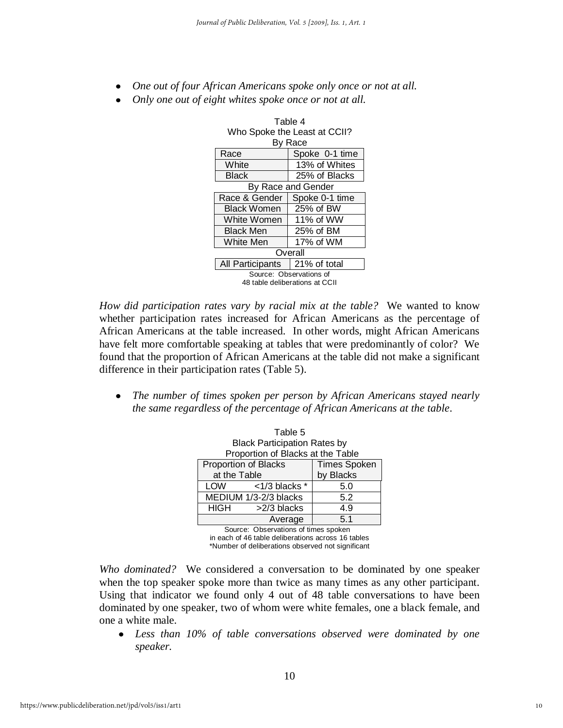- *One out of four African Americans spoke only once or not at all.*
- *Only one out of eight whites spoke once or not at all.*

|  | Who Spoke the Least at CCII?                |                |  |  |  |  |
|--|---------------------------------------------|----------------|--|--|--|--|
|  |                                             | By Race        |  |  |  |  |
|  | Race                                        | Spoke 0-1 time |  |  |  |  |
|  | White                                       | 13% of Whites  |  |  |  |  |
|  | Black                                       | 25% of Blacks  |  |  |  |  |
|  | By Race and Gender                          |                |  |  |  |  |
|  | Race & Gender                               | Spoke 0-1 time |  |  |  |  |
|  | <b>Black Women</b>                          | 25% of BW      |  |  |  |  |
|  | White Women                                 | 11% of WW      |  |  |  |  |
|  | <b>Black Men</b>                            | 25% of BM      |  |  |  |  |
|  | White Men<br>17% of WM                      |                |  |  |  |  |
|  | Overall<br>21% of total<br>All Participants |                |  |  |  |  |
|  |                                             |                |  |  |  |  |
|  | Source: Observations of                     |                |  |  |  |  |
|  | 48 table deliberations at CCII              |                |  |  |  |  |

Table 4

*How did participation rates vary by racial mix at the table?*We wanted to know whether participation rates increased for African Americans as the percentage of African Americans at the table increased. In other words, might African Americans have felt more comfortable speaking at tables that were predominantly of color? We found that the proportion of African Americans at the table did not make a significant difference in their participation rates (Table 5).

*The number of times spoken per person by African Americans stayed nearly*   $\bullet$ *the same regardless of the percentage of African Americans at the table*.

|              | Table 5                             |                     |  |  |  |  |  |  |
|--------------|-------------------------------------|---------------------|--|--|--|--|--|--|
|              | <b>Black Participation Rates by</b> |                     |  |  |  |  |  |  |
|              | Proportion of Blacks at the Table   |                     |  |  |  |  |  |  |
|              | Proportion of Blacks                | <b>Times Spoken</b> |  |  |  |  |  |  |
| at the Table |                                     | by Blacks           |  |  |  |  |  |  |
| LOW          | $<$ 1/3 blacks $*$                  | 5.0                 |  |  |  |  |  |  |
|              | MEDIUM 1/3-2/3 blacks               | 5.2                 |  |  |  |  |  |  |
| <b>HIGH</b>  | >2/3 blacks                         | 4.9                 |  |  |  |  |  |  |
|              | Average                             | 5.1                 |  |  |  |  |  |  |

 Source: Observations of times spoken in each of 46 table deliberations across 16 tables \*Number of deliberations observed not significant

*Who dominated?*We considered a conversation to be dominated by one speaker when the top speaker spoke more than twice as many times as any other participant. Using that indicator we found only 4 out of 48 table conversations to have been dominated by one speaker, two of whom were white females, one a black female, and one a white male.

*Less than 10% of table conversations observed were dominated by one speaker.*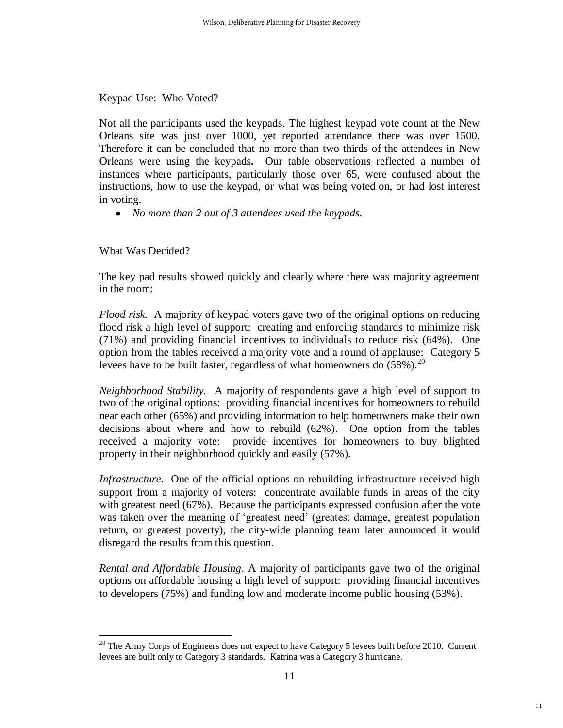Keypad Use: Who Voted?

Not all the participants used the keypads. The highest keypad vote count at the New Orleans site was just over 1000, yet reported attendance there was over 1500. Therefore it can be concluded that no more than two thirds of the attendees in New Orleans were using the keypads**.** Our table observations reflected a number of instances where participants, particularly those over 65, were confused about the instructions, how to use the keypad, or what was being voted on, or had lost interest in voting.

*No more than 2 out of 3 attendees used the keypads.* 

What Was Decided?

The key pad results showed quickly and clearly where there was majority agreement in the room:

*Flood risk.* A majority of keypad voters gave two of the original options on reducing flood risk a high level of support: creating and enforcing standards to minimize risk (71%) and providing financial incentives to individuals to reduce risk (64%). One option from the tables received a majority vote and a round of applause: Category 5 levees have to be built faster, regardless of what homeowners do  $(58\%)$ .<sup>20</sup>

*Neighborhood Stability.* A majority of respondents gave a high level of support to two of the original options: providing financial incentives for homeowners to rebuild near each other (65%) and providing information to help homeowners make their own decisions about where and how to rebuild (62%). One option from the tables received a majority vote: provide incentives for homeowners to buy blighted property in their neighborhood quickly and easily (57%).

*Infrastructure.* One of the official options on rebuilding infrastructure received high support from a majority of voters: concentrate available funds in areas of the city with greatest need (67%). Because the participants expressed confusion after the vote was taken over the meaning of 'greatest need' (greatest damage, greatest population return, or greatest poverty), the city-wide planning team later announced it would disregard the results from this question.

*Rental and Affordable Housing.* A majority of participants gave two of the original options on affordable housing a high level of support: providing financial incentives to developers (75%) and funding low and moderate income public housing (53%).

 $\overline{a}$  $20$  The Army Corps of Engineers does not expect to have Category 5 levees built before 2010. Current levees are built only to Category 3 standards. Katrina was a Category 3 hurricane.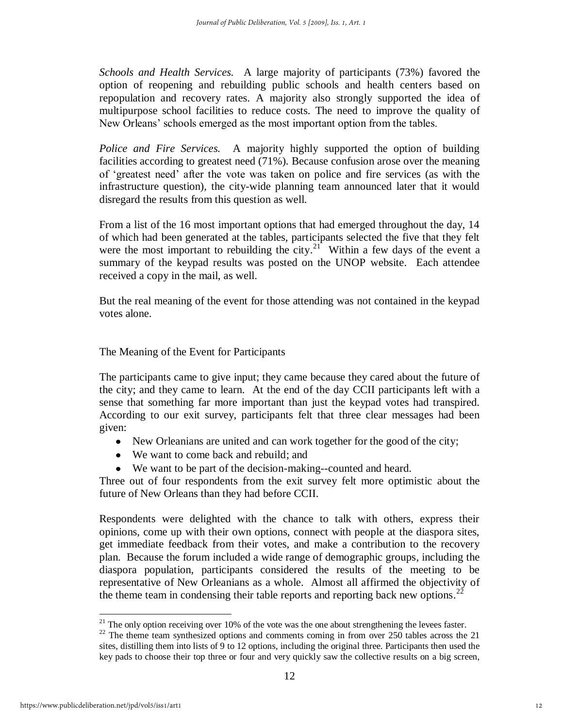*Schools and Health Services.*A large majority of participants (73%) favored the option of reopening and rebuilding public schools and health centers based on repopulation and recovery rates. A majority also strongly supported the idea of multipurpose school facilities to reduce costs. The need to improve the quality of New Orleans' schools emerged as the most important option from the tables.

*Police and Fire Services.* A majority highly supported the option of building facilities according to greatest need (71%). Because confusion arose over the meaning of ‗greatest need' after the vote was taken on police and fire services (as with the infrastructure question), the city-wide planning team announced later that it would disregard the results from this question as well.

From a list of the 16 most important options that had emerged throughout the day, 14 of which had been generated at the tables, participants selected the five that they felt were the most important to rebuilding the city.<sup>21</sup> Within a few days of the event a summary of the keypad results was posted on the UNOP website. Each attendee received a copy in the mail, as well.

But the real meaning of the event for those attending was not contained in the keypad votes alone.

The Meaning of the Event for Participants

The participants came to give input; they came because they cared about the future of the city; and they came to learn. At the end of the day CCII participants left with a sense that something far more important than just the keypad votes had transpired. According to our exit survey, participants felt that three clear messages had been given:

- New Orleanians are united and can work together for the good of the city;
- We want to come back and rebuild; and
- We want to be part of the decision-making--counted and heard.

Three out of four respondents from the exit survey felt more optimistic about the future of New Orleans than they had before CCII.

Respondents were delighted with the chance to talk with others, express their opinions, come up with their own options, connect with people at the diaspora sites, get immediate feedback from their votes, and make a contribution to the recovery plan. Because the forum included a wide range of demographic groups, including the diaspora population, participants considered the results of the meeting to be representative of New Orleanians as a whole. Almost all affirmed the objectivity of the theme team in condensing their table reports and reporting back new options.<sup>22</sup>

<sup>&</sup>lt;sup>21</sup> The only option receiving over 10% of the vote was the one about strengthening the levees faster.

 $22$  The theme team synthesized options and comments coming in from over 250 tables across the 21 sites, distilling them into lists of 9 to 12 options, including the original three. Participants then used the key pads to choose their top three or four and very quickly saw the collective results on a big screen,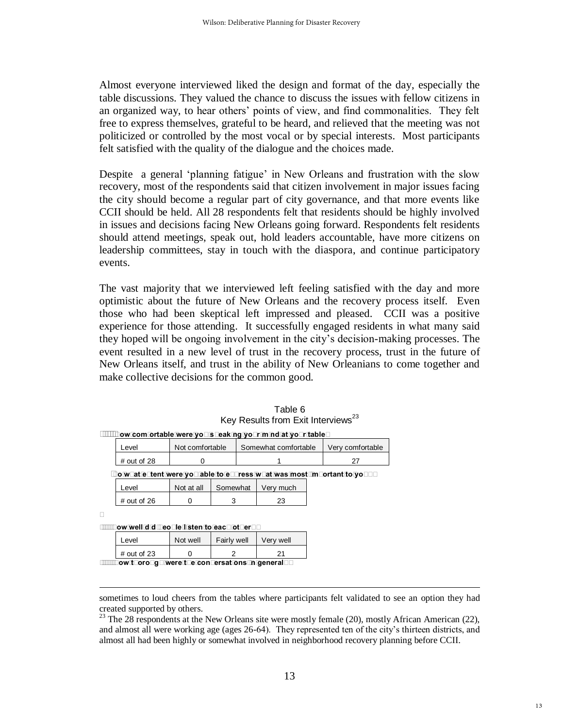Almost everyone interviewed liked the design and format of the day, especially the table discussions. They valued the chance to discuss the issues with fellow citizens in an organized way, to hear others' points of view, and find commonalities. They felt free to express themselves, grateful to be heard, and relieved that the meeting was not politicized or controlled by the most vocal or by special interests. Most participants felt satisfied with the quality of the dialogue and the choices made.

Despite a general 'planning fatigue' in New Orleans and frustration with the slow recovery, most of the respondents said that citizen involvement in major issues facing the city should become a regular part of city governance, and that more events like CCII should be held. All 28 respondents felt that residents should be highly involved in issues and decisions facing New Orleans going forward. Respondents felt residents should attend meetings, speak out, hold leaders accountable, have more citizens on leadership committees, stay in touch with the diaspora, and continue participatory events.

The vast majority that we interviewed left feeling satisfied with the day and more optimistic about the future of New Orleans and the recovery process itself. Even those who had been skeptical left impressed and pleased. CCII was a positive experience for those attending. It successfully engaged residents in what many said they hoped will be ongoing involvement in the city's decision-making processes. The event resulted in a new level of trust in the recovery process, trust in the future of New Orleans itself, and trust in the ability of New Orleanians to come together and make collective decisions for the common good.

|               |                 | How comfortable were you speaking your mind at your table? |                  |
|---------------|-----------------|------------------------------------------------------------|------------------|
| Level         | Not comfortable | Somewhat comfortable                                       | Very comfortable |
| $#$ out of 28 |                 |                                                            |                  |

| Table 6                                        |  |
|------------------------------------------------|--|
| Key Results from Exit Interviews <sup>23</sup> |  |

 **To what extent were you able to express what was most important to you?** 

| I evel        | Not at all | Somewhat | Verv much |
|---------------|------------|----------|-----------|
| $#$ out of 26 |            |          |           |

 **How well did people listen to each other?** 

 $\overline{a}$ 

| Level                                                 | Not well | Fairly well | Very well |  |  |  |
|-------------------------------------------------------|----------|-------------|-----------|--|--|--|
| $\#$ out of 23                                        |          |             |           |  |  |  |
| $\Box$ ow thorough ware the conversations in general? |          |             |           |  |  |  |

 **How thorough were the conversations in general?** 

sometimes to loud cheers from the tables where participants felt validated to see an option they had created supported by others.

<sup>&</sup>lt;sup>23</sup> The 28 respondents at the New Orleans site were mostly female (20), mostly African American (22), and almost all were working age (ages 26-64). They represented ten of the city's thirteen districts, and almost all had been highly or somewhat involved in neighborhood recovery planning before CCII.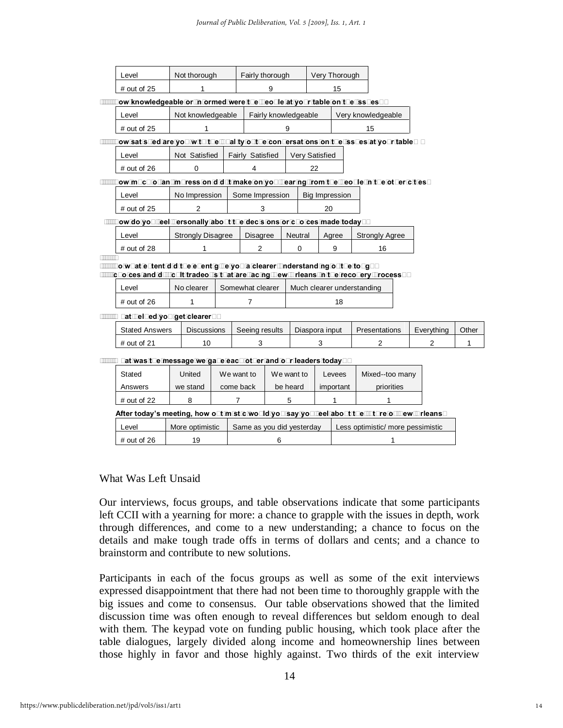| Level                                                                                     | Not thorough             | Fairly thorough  |   |            |                       | Very Thorough              |                    |                       |                |              |
|-------------------------------------------------------------------------------------------|--------------------------|------------------|---|------------|-----------------------|----------------------------|--------------------|-----------------------|----------------|--------------|
| # out of 25                                                                               | 1                        |                  | 9 |            |                       | 15                         |                    |                       |                |              |
| How knowledgeable or informed were the people at your table on the issues?                |                          |                  |   |            |                       |                            |                    |                       |                |              |
| Level                                                                                     | Not knowledgeable        |                  |   |            | Fairly knowledgeable  |                            | Very knowledgeable |                       |                |              |
| $#$ out of 25                                                                             | 1                        |                  |   | 9          |                       |                            |                    | 15                    |                |              |
| How satisfied are you with the quality of the conversations on the issues at your table?  |                          |                  |   |            |                       |                            |                    |                       |                |              |
| Level                                                                                     | Not Satisfied            | Fairly Satisfied |   |            | <b>Very Satisfied</b> |                            |                    |                       |                |              |
| $#$ out of 26                                                                             | $\mathbf 0$              | 4                |   |            | 22                    |                            |                    |                       |                |              |
| How much of an impression did it make on you hearing from the people in the other cities? |                          |                  |   |            |                       |                            |                    |                       |                |              |
| Level                                                                                     | No Impression            | Some Impression  |   |            |                       | <b>Big Impression</b>      |                    |                       |                |              |
| # out of 25                                                                               | 2                        | 3                |   |            |                       | 20                         |                    |                       |                |              |
| How do you feel personally about the decisions or choices made today?                     |                          |                  |   |            |                       |                            |                    |                       |                |              |
| Level                                                                                     | <b>Strongly Disagree</b> | <b>Disagree</b>  |   | Neutral    |                       | Agree                      |                    | <b>Strongly Agree</b> |                |              |
| # out of 28                                                                               | 1                        | $\overline{2}$   |   | 0          |                       | 9                          |                    | 16                    |                |              |
| To what extent did the event give you a clearer understanding of the tough                |                          |                  |   |            |                       |                            |                    |                       |                |              |
| choices and difficult tradeoffs that are facing New Orleans in the recovery process?      |                          |                  |   |            |                       |                            |                    |                       |                |              |
| Level                                                                                     | No clearer               | Somewhat clearer |   |            |                       | Much clearer understanding |                    |                       |                |              |
| # out of 26                                                                               | 1                        | $\overline{7}$   |   |            |                       | 18                         |                    |                       |                |              |
| What helped you get clearer?                                                              |                          |                  |   |            |                       |                            |                    |                       |                |              |
| <b>Stated Answers</b>                                                                     | <b>Discussions</b>       | Seeing results   |   |            |                       | Diaspora input             |                    | Presentations         | Everything     | Other        |
| # out of 21                                                                               | 10                       | 3                |   |            |                       | 3                          |                    | $\overline{2}$        | $\overline{2}$ | $\mathbf{1}$ |
| What was the message we gave each other and our leaders today?                            |                          |                  |   |            |                       |                            |                    |                       |                |              |
| Stated                                                                                    | United                   | We want to       |   | We want to |                       | Levees                     |                    | Mixed--too many       |                |              |
| Answers                                                                                   | we stand                 | come back        |   | be heard   |                       | important                  |                    | priorities            |                |              |
|                                                                                           |                          |                  |   |            |                       |                            |                    |                       |                |              |

| After today's meeting, how optimistic would you say you feel about the future of New Orleans? |                 |                           |                                   |  |  |  |  |  |  |
|-----------------------------------------------------------------------------------------------|-----------------|---------------------------|-----------------------------------|--|--|--|--|--|--|
| Level                                                                                         | More optimistic | Same as you did vesterday | Less optimistic/ more pessimistic |  |  |  |  |  |  |
| $#$ out of 26                                                                                 | 19              |                           |                                   |  |  |  |  |  |  |

# out of 22  $\begin{array}{|c|c|c|c|c|c|c|c|c|} \hline \end{array}$  8  $\begin{array}{|c|c|c|c|c|c|c|c|} \hline \end{array}$  5  $\begin{array}{|c|c|c|c|c|c|c|c|c|} \hline \end{array}$  1

#### What Was Left Unsaid

Our interviews, focus groups, and table observations indicate that some participants left CCII with a yearning for more: a chance to grapple with the issues in depth, work through differences, and come to a new understanding; a chance to focus on the details and make tough trade offs in terms of dollars and cents; and a chance to brainstorm and contribute to new solutions.

Participants in each of the focus groups as well as some of the exit interviews expressed disappointment that there had not been time to thoroughly grapple with the big issues and come to consensus. Our table observations showed that the limited discussion time was often enough to reveal differences but seldom enough to deal with them. The keypad vote on funding public housing, which took place after the table dialogues, largely divided along income and homeownership lines between those highly in favor and those highly against. Two thirds of the exit interview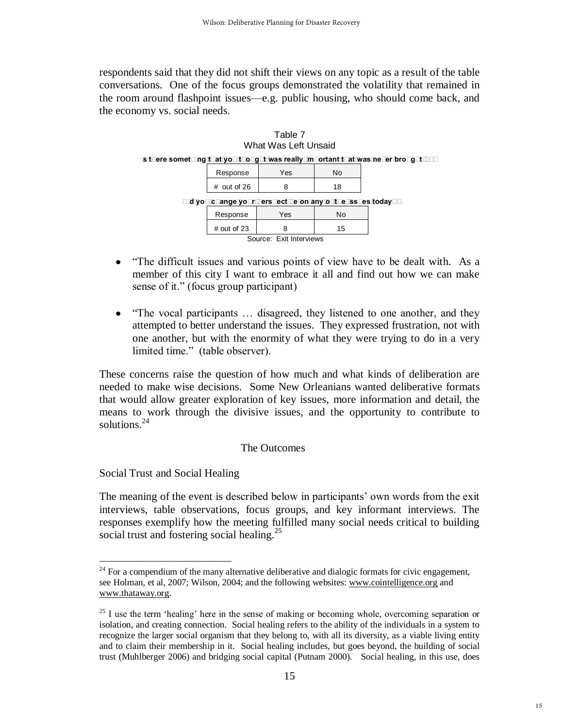respondents said that they did not shift their views on any topic as a result of the table conversations. One of the focus groups demonstrated the volatility that remained in the room around flashpoint issues—e.g. public housing, who should come back, and the economy vs. social needs.



- ―The difficult issues and various points of view have to be dealt with. As a  $\bullet$ member of this city I want to embrace it all and find out how we can make sense of it." (focus group participant)
- $\bullet$ "The vocal participants ... disagreed, they listened to one another, and they attempted to better understand the issues. They expressed frustration, not with one another, but with the enormity of what they were trying to do in a very limited time." (table observer).

These concerns raise the question of how much and what kinds of deliberation are needed to make wise decisions. Some New Orleanians wanted deliberative formats that would allow greater exploration of key issues, more information and detail, the means to work through the divisive issues, and the opportunity to contribute to solutions.<sup>24</sup>

#### The Outcomes

Social Trust and Social Healing

 $\overline{a}$ 

The meaning of the event is described below in participants' own words from the exit interviews, table observations, focus groups, and key informant interviews. The responses exemplify how the meeting fulfilled many social needs critical to building social trust and fostering social healing. $25$ 

 $24$  For a compendium of the many alternative deliberative and dialogic formats for civic engagement, see Holman, et al, 2007; Wilson, 2004; and the following websites[: www.cointelligence.org](http://www.cointelligence.org/) and [www.thataway.org.](http://www.thataway.org/)

 $^{25}$  I use the term 'healing' here in the sense of making or becoming whole, overcoming separation or isolation, and creating connection. Social healing refers to the ability of the individuals in a system to recognize the larger social organism that they belong to, with all its diversity, as a viable living entity and to claim their membership in it. Social healing includes, but goes beyond, the building of social trust (Muhlberger 2006) and bridging social capital (Putnam 2000). Social healing, in this use, does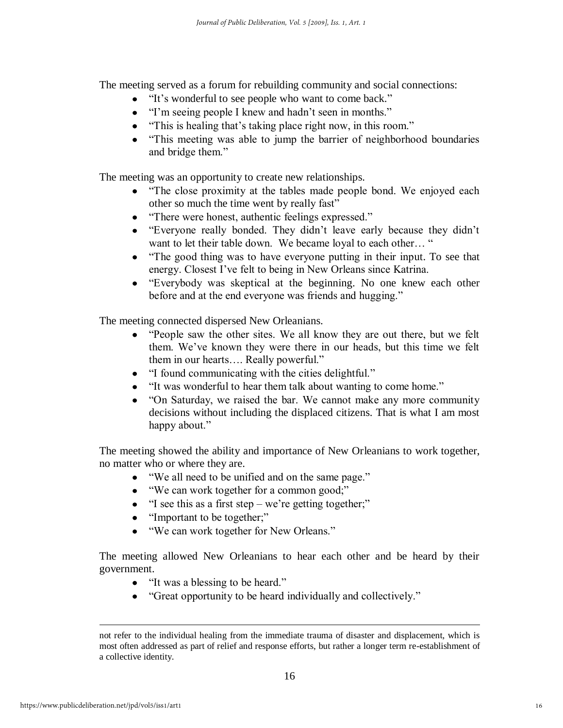The meeting served as a forum for rebuilding community and social connections:

- "It's wonderful to see people who want to come back."
- T'm seeing people I knew and hadn't seen in months."
- "This is healing that's taking place right now, in this room."
- ―This meeting was able to jump the barrier of neighborhood boundaries  $\bullet$ and bridge them."

The meeting was an opportunity to create new relationships.

- "The close proximity at the tables made people bond. We enjoyed each other so much the time went by really fast"
- "There were honest, authentic feelings expressed."  $\bullet$
- ―Everyone really bonded. They didn't leave early because they didn't want to let their table down. We became loyal to each other… "
- "The good thing was to have everyone putting in their input. To see that energy. Closest I've felt to being in New Orleans since Katrina.
- ―Everybody was skeptical at the beginning. No one knew each other before and at the end everyone was friends and hugging."

The meeting connected dispersed New Orleanians.

- "People saw the other sites. We all know they are out there, but we felt them. We've known they were there in our heads, but this time we felt them in our hearts.... Really powerful."
- "I found communicating with the cities delightful."
- "It was wonderful to hear them talk about wanting to come home."
- "On Saturday, we raised the bar. We cannot make any more community decisions without including the displaced citizens. That is what I am most happy about."

The meeting showed the ability and importance of New Orleanians to work together, no matter who or where they are.

- "We all need to be unified and on the same page."
- "We can work together for a common good;"
- $\bullet$  "I see this as a first step we're getting together;"
- "Important to be together;"
- "We can work together for New Orleans."

The meeting allowed New Orleanians to hear each other and be heard by their government.

- "It was a blessing to be heard."
- "Great opportunity to be heard individually and collectively."

not refer to the individual healing from the immediate trauma of disaster and displacement, which is most often addressed as part of relief and response efforts, but rather a longer term re-establishment of a collective identity.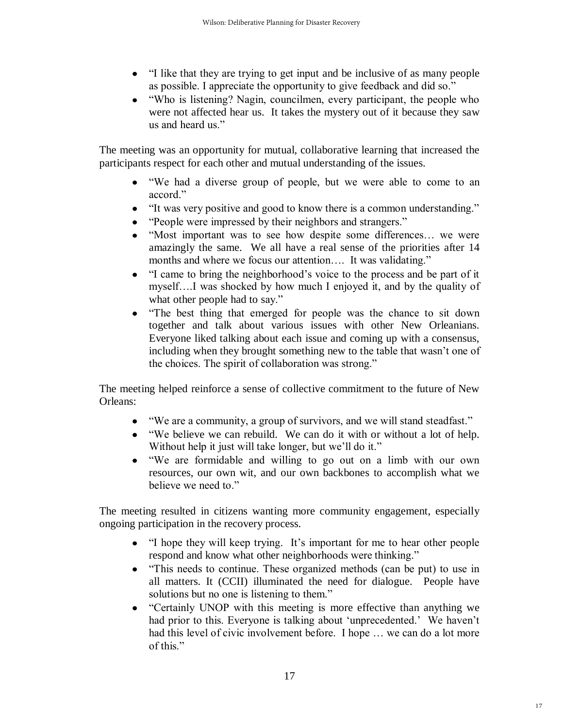- "I like that they are trying to get input and be inclusive of as many people as possible. I appreciate the opportunity to give feedback and did so."
- ―Who is listening? Nagin, councilmen, every participant, the people who were not affected hear us. It takes the mystery out of it because they saw us and heard us."

The meeting was an opportunity for mutual, collaborative learning that increased the participants respect for each other and mutual understanding of the issues.

- ―We had a diverse group of people, but we were able to come to an accord<sup>"</sup>
- "It was very positive and good to know there is a common understanding."
- "People were impressed by their neighbors and strangers."
- "Most important was to see how despite some differences... we were amazingly the same. We all have a real sense of the priorities after 14 months and where we focus our attention.... It was validating."
- ―I came to bring the neighborhood's voice to the process and be part of it  $\bullet$ myself….I was shocked by how much I enjoyed it, and by the quality of what other people had to say."
- "The best thing that emerged for people was the chance to sit down together and talk about various issues with other New Orleanians. Everyone liked talking about each issue and coming up with a consensus, including when they brought something new to the table that wasn't one of the choices. The spirit of collaboration was strong."

The meeting helped reinforce a sense of collective commitment to the future of New Orleans:

- "We are a community, a group of survivors, and we will stand steadfast."
- ―We believe we can rebuild. We can do it with or without a lot of help. Without help it just will take longer, but we'll do it."
- ―We are formidable and willing to go out on a limb with our own resources, our own wit, and our own backbones to accomplish what we believe we need to."

The meeting resulted in citizens wanting more community engagement, especially ongoing participation in the recovery process.

- "I hope they will keep trying. It's important for me to hear other people respond and know what other neighborhoods were thinking."
- ―This needs to continue. These organized methods (can be put) to use in all matters. It (CCII) illuminated the need for dialogue. People have solutions but no one is listening to them."
- "Certainly UNOP with this meeting is more effective than anything we had prior to this. Everyone is talking about 'unprecedented.' We haven't had this level of civic involvement before. I hope ... we can do a lot more of this."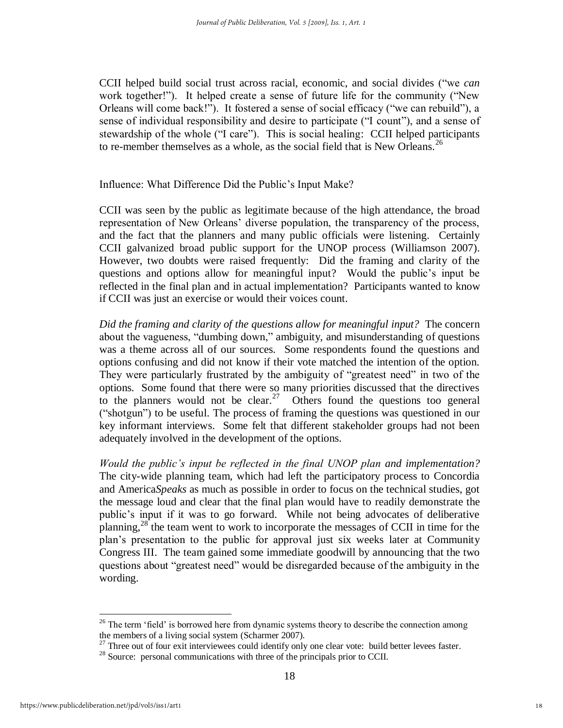CCII helped build social trust across racial, economic, and social divides ("we *can* work together!"). It helped create a sense of future life for the community ("New Orleans will come back!"). It fostered a sense of social efficacy ("we can rebuild"), a sense of individual responsibility and desire to participate ("I count"), and a sense of stewardship of the whole ("I care"). This is social healing: CCII helped participants to re-member themselves as a whole, as the social field that is New Orleans.<sup>26</sup>

Influence: What Difference Did the Public's Input Make?

CCII was seen by the public as legitimate because of the high attendance, the broad representation of New Orleans' diverse population, the transparency of the process, and the fact that the planners and many public officials were listening. Certainly CCII galvanized broad public support for the UNOP process (Williamson 2007). However, two doubts were raised frequently: Did the framing and clarity of the questions and options allow for meaningful input? Would the public's input be reflected in the final plan and in actual implementation? Participants wanted to know if CCII was just an exercise or would their voices count.

*Did the framing and clarity of the questions allow for meaningful input?* The concern about the vagueness, "dumbing down," ambiguity, and misunderstanding of questions was a theme across all of our sources. Some respondents found the questions and options confusing and did not know if their vote matched the intention of the option. They were particularly frustrated by the ambiguity of "greatest need" in two of the options. Some found that there were so many priorities discussed that the directives to the planners would not be clear.<sup>27</sup> Others found the questions too general ("shotgun") to be useful. The process of framing the questions was questioned in our key informant interviews. Some felt that different stakeholder groups had not been adequately involved in the development of the options*.* 

*Would the public's input be reflected in the final UNOP plan and implementation?* The city-wide planning team, which had left the participatory process to Concordia and America*Speaks* as much as possible in order to focus on the technical studies, got the message loud and clear that the final plan would have to readily demonstrate the public's input if it was to go forward. While not being advocates of deliberative planning,<sup>28</sup> the team went to work to incorporate the messages of CCII in time for the plan's presentation to the public for approval just six weeks later at Community Congress III. The team gained some immediate goodwill by announcing that the two questions about "greatest need" would be disregarded because of the ambiguity in the wording.

 $26$  The term 'field' is borrowed here from dynamic systems theory to describe the connection among the members of a living social system (Scharmer 2007).

<sup>&</sup>lt;sup>27</sup> Three out of four exit interviewees could identify only one clear vote: build better levees faster.

<sup>&</sup>lt;sup>28</sup> Source: personal communications with three of the principals prior to CCII.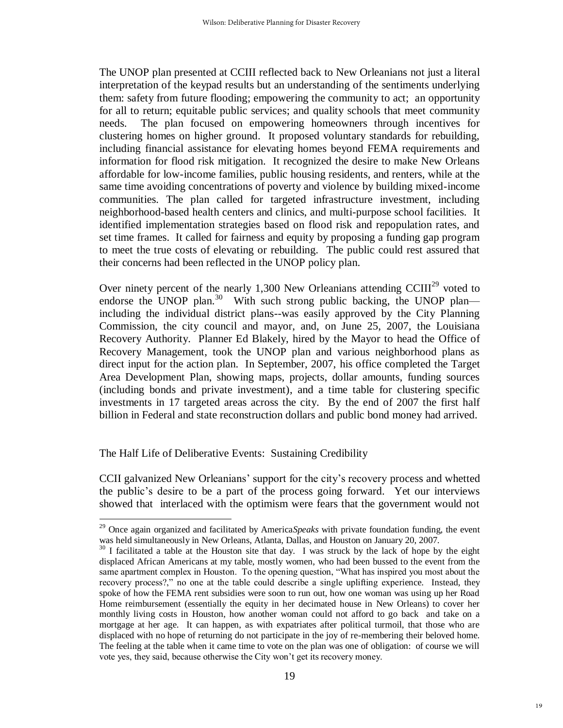The UNOP plan presented at CCIII reflected back to New Orleanians not just a literal interpretation of the keypad results but an understanding of the sentiments underlying them: safety from future flooding; empowering the community to act; an opportunity for all to return; equitable public services; and quality schools that meet community needs. The plan focused on empowering homeowners through incentives for clustering homes on higher ground. It proposed voluntary standards for rebuilding, including financial assistance for elevating homes beyond FEMA requirements and information for flood risk mitigation. It recognized the desire to make New Orleans affordable for low-income families, public housing residents, and renters, while at the same time avoiding concentrations of poverty and violence by building mixed-income communities. The plan called for targeted infrastructure investment, including neighborhood-based health centers and clinics, and multi-purpose school facilities. It identified implementation strategies based on flood risk and repopulation rates, and set time frames. It called for fairness and equity by proposing a funding gap program to meet the true costs of elevating or rebuilding. The public could rest assured that their concerns had been reflected in the UNOP policy plan.

Over ninety percent of the nearly 1,300 New Orleanians attending  $CClII^{29}$  voted to endorse the UNOP plan.<sup>30</sup> With such strong public backing, the UNOP plan including the individual district plans--was easily approved by the City Planning Commission, the city council and mayor, and, on June 25, 2007, the Louisiana Recovery Authority. Planner Ed Blakely, hired by the Mayor to head the Office of Recovery Management, took the UNOP plan and various neighborhood plans as direct input for the action plan. In September, 2007, his office completed the Target Area Development Plan, showing maps, projects, dollar amounts, funding sources (including bonds and private investment), and a time table for clustering specific investments in 17 targeted areas across the city. By the end of 2007 the first half billion in Federal and state reconstruction dollars and public bond money had arrived.

The Half Life of Deliberative Events: Sustaining Credibility

 $\overline{a}$ 

CCII galvanized New Orleanians' support for the city's recovery process and whetted the public's desire to be a part of the process going forward. Yet our interviews showed that interlaced with the optimism were fears that the government would not

<sup>29</sup> Once again organized and facilitated by America*Speaks* with private foundation funding, the event was held simultaneously in New Orleans, Atlanta, Dallas, and Houston on January 20, 2007.

<sup>&</sup>lt;sup>30</sup> I facilitated a table at the Houston site that day. I was struck by the lack of hope by the eight displaced African Americans at my table, mostly women, who had been bussed to the event from the same apartment complex in Houston. To the opening question, "What has inspired you most about the recovery process?," no one at the table could describe a single uplifting experience. Instead, they spoke of how the FEMA rent subsidies were soon to run out, how one woman was using up her Road Home reimbursement (essentially the equity in her decimated house in New Orleans) to cover her monthly living costs in Houston, how another woman could not afford to go back and take on a mortgage at her age. It can happen, as with expatriates after political turmoil, that those who are displaced with no hope of returning do not participate in the joy of re-membering their beloved home. The feeling at the table when it came time to vote on the plan was one of obligation: of course we will vote yes, they said, because otherwise the City won't get its recovery money.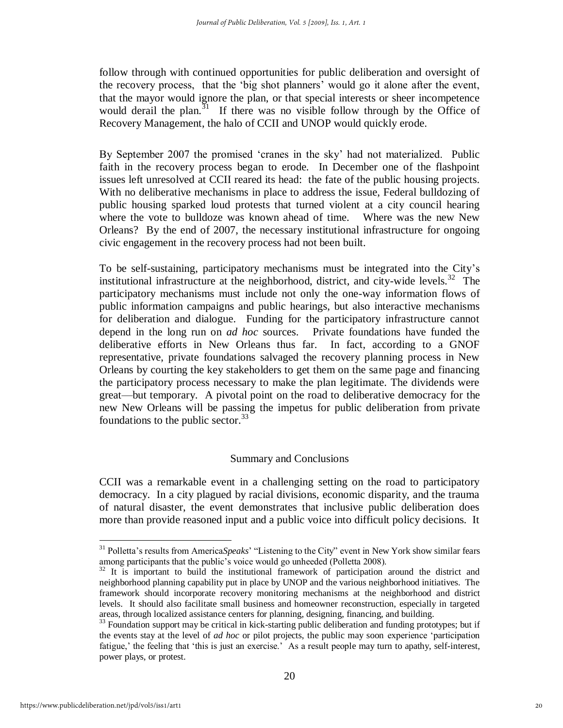follow through with continued opportunities for public deliberation and oversight of the recovery process, that the 'big shot planners' would go it alone after the event, that the mayor would ignore the plan, or that special interests or sheer incompetence would derail the plan.<sup>31</sup> If there was no visible follow through by the Office of Recovery Management, the halo of CCII and UNOP would quickly erode.

By September 2007 the promised 'cranes in the sky' had not materialized. Public faith in the recovery process began to erode. In December one of the flashpoint issues left unresolved at CCII reared its head: the fate of the public housing projects. With no deliberative mechanisms in place to address the issue, Federal bulldozing of public housing sparked loud protests that turned violent at a city council hearing where the vote to bulldoze was known ahead of time. Where was the new New Orleans? By the end of 2007, the necessary institutional infrastructure for ongoing civic engagement in the recovery process had not been built.

To be self-sustaining, participatory mechanisms must be integrated into the City's institutional infrastructure at the neighborhood, district, and city-wide levels.<sup>32</sup> The participatory mechanisms must include not only the one-way information flows of public information campaigns and public hearings, but also interactive mechanisms for deliberation and dialogue. Funding for the participatory infrastructure cannot depend in the long run on *ad hoc* sources. Private foundations have funded the deliberative efforts in New Orleans thus far. In fact, according to a GNOF representative, private foundations salvaged the recovery planning process in New Orleans by courting the key stakeholders to get them on the same page and financing the participatory process necessary to make the plan legitimate. The dividends were great—but temporary. A pivotal point on the road to deliberative democracy for the new New Orleans will be passing the impetus for public deliberation from private foundations to the public sector.  $33$ 

#### Summary and Conclusions

CCII was a remarkable event in a challenging setting on the road to participatory democracy. In a city plagued by racial divisions, economic disparity, and the trauma of natural disaster, the event demonstrates that inclusive public deliberation does more than provide reasoned input and a public voice into difficult policy decisions. It

<sup>&</sup>lt;sup>31</sup> Polletta's results from AmericaSpeaks' "Listening to the City" event in New York show similar fears among participants that the public's voice would go unheeded (Polletta 2008).

<sup>&</sup>lt;sup>32</sup> It is important to build the institutional framework of participation around the district and neighborhood planning capability put in place by UNOP and the various neighborhood initiatives. The framework should incorporate recovery monitoring mechanisms at the neighborhood and district levels. It should also facilitate small business and homeowner reconstruction, especially in targeted areas, through localized assistance centers for planning, designing, financing, and building.

 $33$  Foundation support may be critical in kick-starting public deliberation and funding prototypes; but if the events stay at the level of *ad hoc* or pilot projects, the public may soon experience 'participation' fatigue,' the feeling that 'this is just an exercise.' As a result people may turn to apathy, self-interest, power plays, or protest.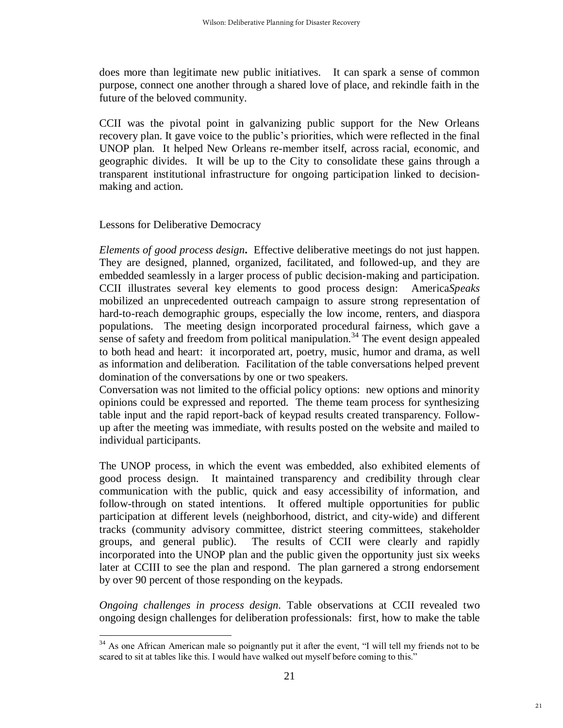does more than legitimate new public initiatives. It can spark a sense of common purpose, connect one another through a shared love of place, and rekindle faith in the future of the beloved community.

CCII was the pivotal point in galvanizing public support for the New Orleans recovery plan. It gave voice to the public's priorities, which were reflected in the final UNOP plan. It helped New Orleans re-member itself, across racial, economic, and geographic divides. It will be up to the City to consolidate these gains through a transparent institutional infrastructure for ongoing participation linked to decisionmaking and action.

#### Lessons for Deliberative Democracy

 $\overline{a}$ 

*Elements of good process design***.** Effective deliberative meetings do not just happen. They are designed, planned, organized, facilitated, and followed-up, and they are embedded seamlessly in a larger process of public decision-making and participation. CCII illustrates several key elements to good process design: America*Speaks* mobilized an unprecedented outreach campaign to assure strong representation of hard-to-reach demographic groups, especially the low income, renters, and diaspora populations. The meeting design incorporated procedural fairness, which gave a sense of safety and freedom from political manipulation.<sup>34</sup> The event design appealed to both head and heart: it incorporated art, poetry, music, humor and drama, as well as information and deliberation. Facilitation of the table conversations helped prevent domination of the conversations by one or two speakers.

Conversation was not limited to the official policy options: new options and minority opinions could be expressed and reported. The theme team process for synthesizing table input and the rapid report-back of keypad results created transparency. Followup after the meeting was immediate, with results posted on the website and mailed to individual participants.

The UNOP process, in which the event was embedded, also exhibited elements of good process design. It maintained transparency and credibility through clear communication with the public, quick and easy accessibility of information, and follow-through on stated intentions. It offered multiple opportunities for public participation at different levels (neighborhood, district, and city-wide) and different tracks (community advisory committee, district steering committees, stakeholder groups, and general public). The results of CCII were clearly and rapidly incorporated into the UNOP plan and the public given the opportunity just six weeks later at CCIII to see the plan and respond. The plan garnered a strong endorsement by over 90 percent of those responding on the keypads.

*Ongoing challenges in process design.* Table observations at CCII revealed two ongoing design challenges for deliberation professionals: first, how to make the table

 $34$  As one African American male so poignantly put it after the event, "I will tell my friends not to be scared to sit at tables like this. I would have walked out myself before coming to this."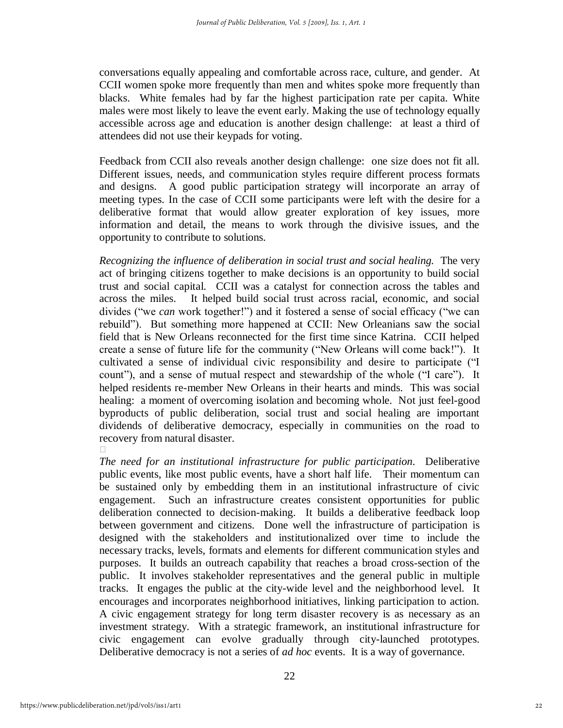conversations equally appealing and comfortable across race, culture, and gender. At CCII women spoke more frequently than men and whites spoke more frequently than blacks. White females had by far the highest participation rate per capita. White males were most likely to leave the event early. Making the use of technology equally accessible across age and education is another design challenge: at least a third of attendees did not use their keypads for voting.

Feedback from CCII also reveals another design challenge: one size does not fit all. Different issues, needs, and communication styles require different process formats and designs. A good public participation strategy will incorporate an array of meeting types. In the case of CCII some participants were left with the desire for a deliberative format that would allow greater exploration of key issues, more information and detail, the means to work through the divisive issues, and the opportunity to contribute to solutions.

*Recognizing the influence of deliberation in social trust and social healing.*The very act of bringing citizens together to make decisions is an opportunity to build social trust and social capital. CCII was a catalyst for connection across the tables and across the miles. It helped build social trust across racial, economic, and social divides ("we *can* work together!") and it fostered a sense of social efficacy ("we can rebuild‖). But something more happened at CCII: New Orleanians saw the social field that is New Orleans reconnected for the first time since Katrina. CCII helped create a sense of future life for the community ("New Orleans will come back!"). It cultivated a sense of individual civic responsibility and desire to participate ("I count"), and a sense of mutual respect and stewardship of the whole ("I care"). It helped residents re-member New Orleans in their hearts and minds. This was social healing: a moment of overcoming isolation and becoming whole. Not just feel-good byproducts of public deliberation, social trust and social healing are important dividends of deliberative democracy, especially in communities on the road to recovery from natural disaster.

*The need for an institutional infrastructure for public participation.*Deliberative public events, like most public events, have a short half life. Their momentum can be sustained only by embedding them in an institutional infrastructure of civic engagement. Such an infrastructure creates consistent opportunities for public deliberation connected to decision-making. It builds a deliberative feedback loop between government and citizens. Done well the infrastructure of participation is designed with the stakeholders and institutionalized over time to include the necessary tracks, levels, formats and elements for different communication styles and purposes. It builds an outreach capability that reaches a broad cross-section of the public. It involves stakeholder representatives and the general public in multiple tracks. It engages the public at the city-wide level and the neighborhood level. It encourages and incorporates neighborhood initiatives, linking participation to action. A civic engagement strategy for long term disaster recovery is as necessary as an investment strategy. With a strategic framework, an institutional infrastructure for civic engagement can evolve gradually through city-launched prototypes. Deliberative democracy is not a series of *ad hoc* events. It is a way of governance.